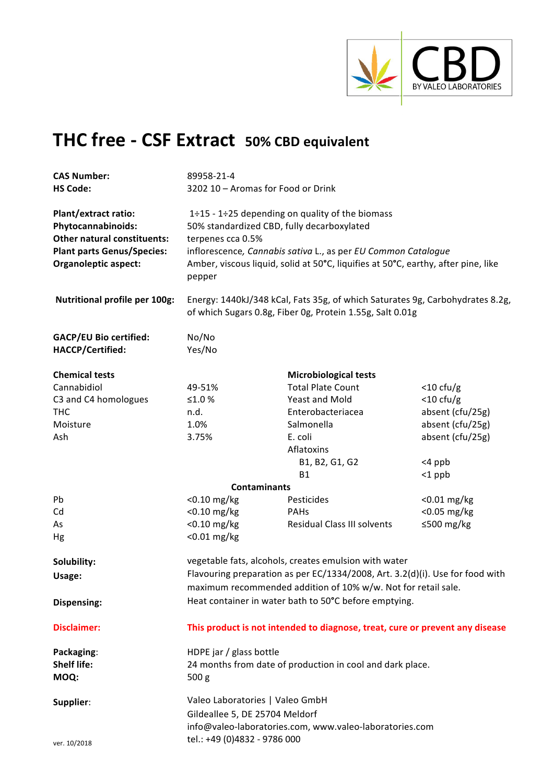

# **THC free - CSF Extract 50% CBD equivalent**

| <b>CAS Number:</b><br><b>HS Code:</b>                                                                                                                       | 89958-21-4<br>3202 10 - Aromas for Food or Drink                                                                                                                                                                                                                                   |                                                                                                                                            |                  |  |
|-------------------------------------------------------------------------------------------------------------------------------------------------------------|------------------------------------------------------------------------------------------------------------------------------------------------------------------------------------------------------------------------------------------------------------------------------------|--------------------------------------------------------------------------------------------------------------------------------------------|------------------|--|
| <b>Plant/extract ratio:</b><br>Phytocannabinoids:<br><b>Other natural constituents:</b><br><b>Plant parts Genus/Species:</b><br><b>Organoleptic aspect:</b> | 1÷15 - 1÷25 depending on quality of the biomass<br>50% standardized CBD, fully decarboxylated<br>terpenes cca 0.5%<br>inflorescence, Cannabis sativa L., as per EU Common Catalogue<br>Amber, viscous liquid, solid at 50°C, liquifies at 50°C, earthy, after pine, like<br>pepper |                                                                                                                                            |                  |  |
| <b>Nutritional profile per 100g:</b>                                                                                                                        |                                                                                                                                                                                                                                                                                    | Energy: 1440kJ/348 kCal, Fats 35g, of which Saturates 9g, Carbohydrates 8.2g,<br>of which Sugars 0.8g, Fiber 0g, Protein 1.55g, Salt 0.01g |                  |  |
| <b>GACP/EU Bio certified:</b><br>HACCP/Certified:                                                                                                           | No/No<br>Yes/No                                                                                                                                                                                                                                                                    |                                                                                                                                            |                  |  |
| <b>Chemical tests</b>                                                                                                                                       |                                                                                                                                                                                                                                                                                    | <b>Microbiological tests</b>                                                                                                               |                  |  |
| Cannabidiol                                                                                                                                                 | 49-51%                                                                                                                                                                                                                                                                             | <b>Total Plate Count</b>                                                                                                                   | $<$ 10 cfu/g     |  |
| C3 and C4 homologues                                                                                                                                        | ≤1.0 $%$                                                                                                                                                                                                                                                                           | Yeast and Mold                                                                                                                             | $<$ 10 cfu/g     |  |
| <b>THC</b>                                                                                                                                                  | n.d.                                                                                                                                                                                                                                                                               | Enterobacteriacea                                                                                                                          | absent (cfu/25g) |  |
| Moisture                                                                                                                                                    | 1.0%                                                                                                                                                                                                                                                                               | Salmonella                                                                                                                                 | absent (cfu/25g) |  |
| Ash                                                                                                                                                         | 3.75%                                                                                                                                                                                                                                                                              | E. coli                                                                                                                                    | absent (cfu/25g) |  |
|                                                                                                                                                             |                                                                                                                                                                                                                                                                                    | Aflatoxins                                                                                                                                 |                  |  |
|                                                                                                                                                             |                                                                                                                                                                                                                                                                                    | B1, B2, G1, G2                                                                                                                             | $<$ 4 ppb        |  |
|                                                                                                                                                             |                                                                                                                                                                                                                                                                                    | <b>B1</b>                                                                                                                                  | $<$ 1 ppb        |  |
|                                                                                                                                                             | <b>Contaminants</b>                                                                                                                                                                                                                                                                |                                                                                                                                            |                  |  |
| Pb                                                                                                                                                          | $<$ 0.10 mg/kg                                                                                                                                                                                                                                                                     | Pesticides                                                                                                                                 | $<$ 0.01 mg/kg   |  |
| Cd                                                                                                                                                          | $<$ 0.10 mg/kg                                                                                                                                                                                                                                                                     | <b>PAHs</b>                                                                                                                                | <0.05 mg/kg      |  |
| As                                                                                                                                                          | $<$ 0.10 mg/kg                                                                                                                                                                                                                                                                     | Residual Class III solvents                                                                                                                | ≤500 mg/kg       |  |
| Hg                                                                                                                                                          | $< 0.01$ mg/kg                                                                                                                                                                                                                                                                     |                                                                                                                                            |                  |  |
| Solubility:                                                                                                                                                 |                                                                                                                                                                                                                                                                                    | vegetable fats, alcohols, creates emulsion with water                                                                                      |                  |  |
|                                                                                                                                                             |                                                                                                                                                                                                                                                                                    | Flavouring preparation as per EC/1334/2008, Art. 3.2(d)(i). Use for food with                                                              |                  |  |
| Usage:                                                                                                                                                      |                                                                                                                                                                                                                                                                                    | maximum recommended addition of 10% w/w. Not for retail sale.                                                                              |                  |  |
| Dispensing:                                                                                                                                                 |                                                                                                                                                                                                                                                                                    | Heat container in water bath to 50°C before emptying.                                                                                      |                  |  |
| <b>Disclaimer:</b>                                                                                                                                          |                                                                                                                                                                                                                                                                                    | This product is not intended to diagnose, treat, cure or prevent any disease                                                               |                  |  |
| Packaging:<br><b>Shelf life:</b><br>MOQ:                                                                                                                    | HDPE jar / glass bottle<br>500 <sub>g</sub>                                                                                                                                                                                                                                        | 24 months from date of production in cool and dark place.                                                                                  |                  |  |
| Supplier:                                                                                                                                                   | Valeo Laboratories   Valeo GmbH<br>Gildeallee 5, DE 25704 Meldorf<br>info@valeo-laboratories.com, www.valeo-laboratories.com                                                                                                                                                       |                                                                                                                                            |                  |  |
| ver. 10/2018                                                                                                                                                | tel.: +49 (0)4832 - 9786 000                                                                                                                                                                                                                                                       |                                                                                                                                            |                  |  |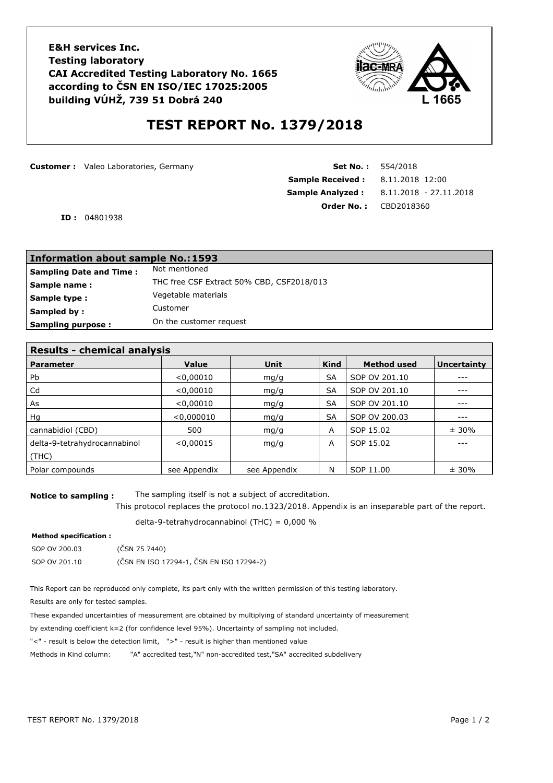**E&H services Inc. Testing laboratory CAI Accredited Testing Laboratory No. 1665 according to ČSN EN ISO/IEC 17025:2005 building VÚHŽ, 739 51 Dobrá 240**



## **TEST REPORT No. 1379/2018**

**Customer :** Valeo Laboratories, Germany **Set No. : 554/2018** 

**Sample Received :** 8.11.2018 12:00 **Sample Analyzed :** 8.11.2018 - 27.11.2018 **Order No. :** CBD2018360

**ID :** 04801938

| <b>Information about sample No.: 1593</b>                 |  |  |  |
|-----------------------------------------------------------|--|--|--|
| Not mentioned<br><b>Sampling Date and Time:</b>           |  |  |  |
| THC free CSF Extract 50% CBD, CSF2018/013<br>Sample name: |  |  |  |
| Vegetable materials<br>Sample type:                       |  |  |  |
| Customer<br>Sampled by:                                   |  |  |  |
| On the customer request<br><b>Sampling purpose:</b>       |  |  |  |

| <b>Results - chemical analysis</b> |              |              |             |                    |                    |
|------------------------------------|--------------|--------------|-------------|--------------------|--------------------|
| <b>Parameter</b>                   | Value        | Unit         | <b>Kind</b> | <b>Method used</b> | <b>Uncertainty</b> |
| <b>Pb</b>                          | < 0,00010    | mq/q         | <b>SA</b>   | SOP OV 201.10      | ---                |
| Cd                                 | < 0,00010    | mg/g         | <b>SA</b>   | SOP OV 201.10      |                    |
| As                                 | < 0,00010    | mq/q         | <b>SA</b>   | SOP OV 201.10      |                    |
| Hq                                 | < 0,000010   | mg/g         | <b>SA</b>   | SOP OV 200.03      |                    |
| cannabidiol (CBD)                  | 500          | mq/q         | A           | SOP 15.02          | ± 30%              |
| delta-9-tetrahydrocannabinol       | < 0.00015    | mq/q         | A           | SOP 15.02          |                    |
| (THE)                              |              |              |             |                    |                    |
| Polar compounds                    | see Appendix | see Appendix | N           | SOP 11.00          | ± 30%              |

**Notice to sampling :** The sampling itself is not a subject of accreditation.

This protocol replaces the protocol no.1323/2018. Appendix is an inseparable part of the report.

delta-9-tetrahydrocannabinol (THC) = 0,000 %

### **Method specification :**

| SOP OV 200.03 | (ČSN 75 7440)                            |
|---------------|------------------------------------------|
| SOP OV 201.10 | (ČSN EN ISO 17294-1, ČSN EN ISO 17294-2) |

This Report can be reproduced only complete, its part only with the written permission of this testing laboratory.

Results are only for tested samples.

These expanded uncertainties of measurement are obtained by multiplying of standard uncertainty of measurement

by extending coefficient k=2 (for confidence level 95%). Uncertainty of sampling not included.

"<" - result is below the detection limit, ">" - result is higher than mentioned value

Methods in Kind column: "A" accredited test,"N" non-accredited test,"SA" accredited subdelivery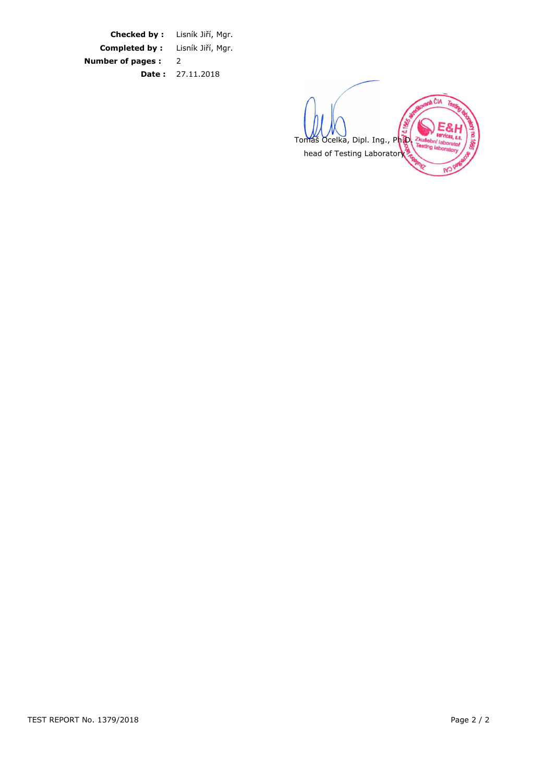**Checked by :** Lisník Jiří, Mgr. **Completed by :** Lisník Jiří, Mgr. **Number of pages :** 2 **Date :** 27.11.2018

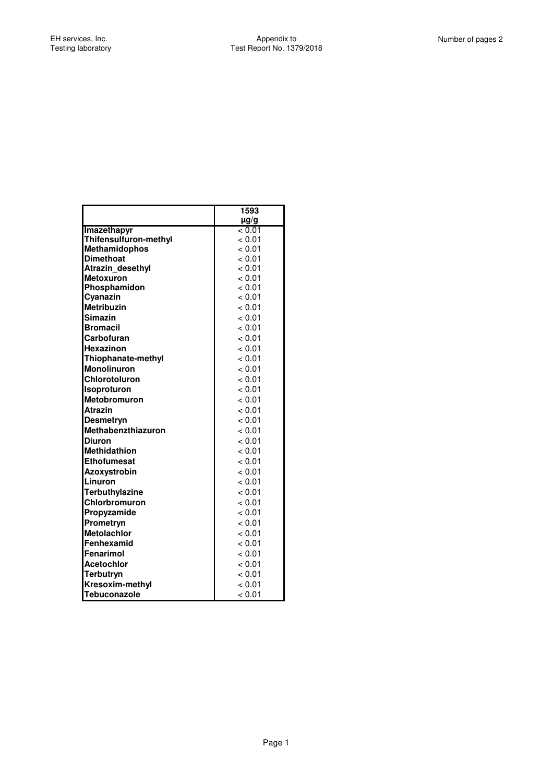Ī

|                       | 1593      |
|-----------------------|-----------|
|                       | $\mu$ g/g |
| Imazethapyr           | < 0.01    |
| Thifensulfuron-methyl | < 0.01    |
| <b>Methamidophos</b>  | < 0.01    |
| <b>Dimethoat</b>      | < 0.01    |
| Atrazin desethyl      | < 0.01    |
| <b>Metoxuron</b>      | < 0.01    |
| Phosphamidon          | < 0.01    |
| Cyanazin              | < 0.01    |
| <b>Metribuzin</b>     | < 0.01    |
| <b>Simazin</b>        | < 0.01    |
| <b>Bromacil</b>       | < 0.01    |
| Carbofuran            | < 0.01    |
| Hexazinon             | < 0.01    |
| Thiophanate-methyl    | < 0.01    |
| <b>Monolinuron</b>    | < 0.01    |
| Chlorotoluron         | < 0.01    |
| <b>Isoproturon</b>    | < 0.01    |
| <b>Metobromuron</b>   | < 0.01    |
| Atrazin               | < 0.01    |
| <b>Desmetryn</b>      | < 0.01    |
| Methabenzthiazuron    | < 0.01    |
| <b>Diuron</b>         | < 0.01    |
| <b>Methidathion</b>   | < 0.01    |
| <b>Ethofumesat</b>    | < 0.01    |
| <b>Azoxystrobin</b>   | < 0.01    |
| Linuron               | < 0.01    |
| Terbuthylazine        | < 0.01    |
| Chlorbromuron         | < 0.01    |
| Propyzamide           | < 0.01    |
| Prometryn             | < 0.01    |
| <b>Metolachlor</b>    | < 0.01    |
| Fenhexamid            | < 0.01    |
| Fenarimol             | < 0.01    |
| <b>Acetochlor</b>     | < 0.01    |
| Terbutryn             | < 0.01    |
| Kresoxim-methyl       | < 0.01    |
| Tebuconazole          | < 0.01    |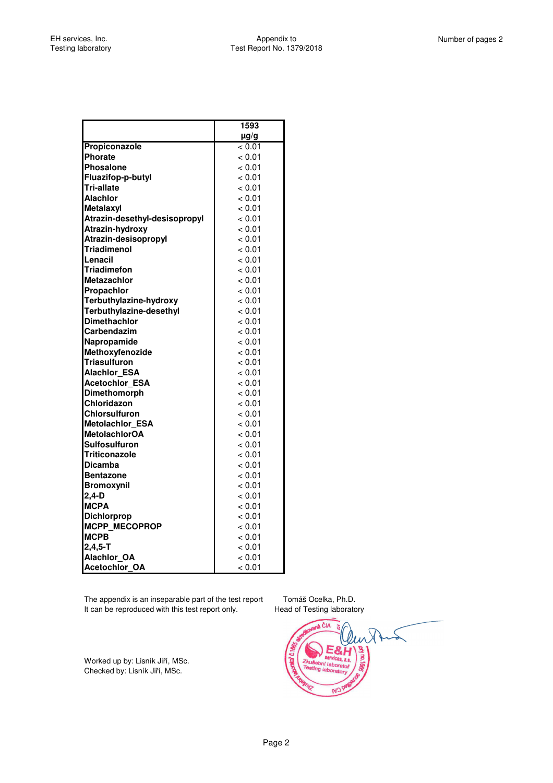|                                     | 1593             |
|-------------------------------------|------------------|
|                                     | $\mu$ g/g        |
| Propiconazole                       | < 0.01           |
| Phorate                             | < 0.01           |
| Phosalone                           | < 0.01           |
| Fluazifop-p-butyl                   | < 0.01           |
| <b>Tri-allate</b>                   | < 0.01           |
| Alachlor                            | < 0.01           |
| Metalaxyl                           | < 0.01           |
| Atrazin-desethyl-desisopropyl       | < 0.01           |
| Atrazin-hydroxy                     | < 0.01           |
| Atrazin-desisopropyl                | < 0.01           |
| Triadimenol                         | < 0.01           |
| Lenacil                             | < 0.01           |
| Triadimefon                         | < 0.01           |
| <b>Metazachlor</b>                  | < 0.01           |
| Propachlor                          | < 0.01           |
| Terbuthylazine-hydroxy              | < 0.01           |
| Terbuthylazine-desethyl             | < 0.01           |
| <b>Dimethachlor</b>                 | < 0.01           |
| Carbendazim                         | < 0.01           |
| Napropamide                         | < 0.01           |
| Methoxyfenozide                     | < 0.01           |
| Triasulfuron                        | < 0.01           |
| <b>Alachlor ESA</b>                 | < 0.01           |
| <b>Acetochlor_ESA</b>               | < 0.01           |
| Dimethomorph                        | < 0.01           |
| <b>Chloridazon</b>                  | < 0.01           |
| Chlorsulfuron                       | < 0.01           |
| <b>Metolachlor ESA</b>              | < 0.01           |
| <b>MetolachlorOA</b>                | < 0.01           |
| Sulfosulfuron                       | < 0.01           |
| Triticonazole                       | < 0.01           |
| <b>Dicamba</b>                      | < 0.01           |
| <b>IBentazone</b>                   | < 0.01           |
| <b>Bromoxynil</b>                   | < 0.01           |
| $2,4-D$<br><b>MCPA</b>              | < 0.01           |
|                                     | < 0.01<br>< 0.01 |
| <b>Dichlorprop</b><br>MCPP_MECOPROP | < 0.01           |
| <b>MCPB</b>                         | < 0.01           |
| $2,4,5 - T$                         |                  |
| <b>Alachlor OA</b>                  | < 0.01<br>< 0.01 |
| <b>Acetochlor OA</b>                |                  |
|                                     | < 0.01           |

The appendix is an inseparable part of the test report Tomáš Ocelka, Ph.D. It can be reproduced with this test report only. Head of Testing laboratory

Worked up by: Lisník Jiří, MSc. Checked by: Lisník Jiří, MSc.

**N<sub>3</sub>**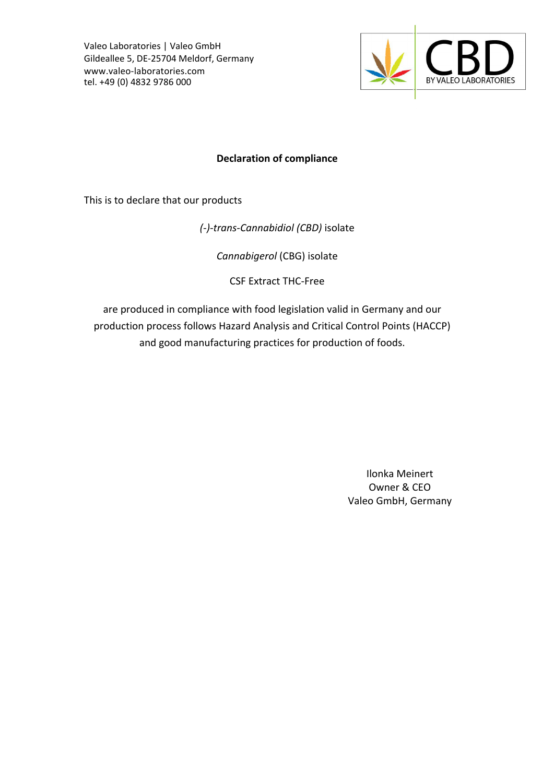Valeo Laboratories | Valeo GmbH Gildeallee 5, DE-25704 Meldorf, Germany www.valeo-laboratories.com tel. +49 (0) 4832 9786 000



## **Declaration of compliance**

This is to declare that our products

*(-)-trans-Cannabidiol (CBD)* isolate 

*Cannabigerol* (CBG) isolate 

CSF Extract THC-Free

are produced in compliance with food legislation valid in Germany and our production process follows Hazard Analysis and Critical Control Points (HACCP) and good manufacturing practices for production of foods.

> Ilonka Meinert Owner & CEO Valeo GmbH, Germany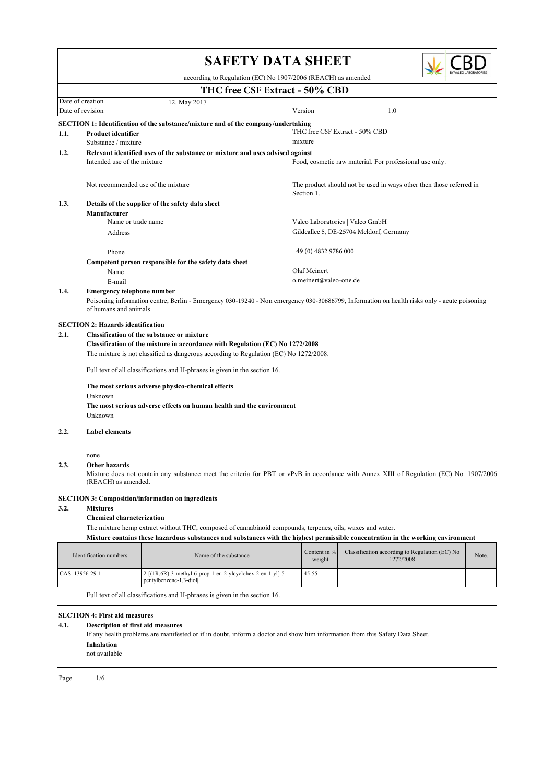|      |                                                                                       | <b>SAFETY DATA SHEET</b>                                                                                                                    |                        |                                                                     |       |  |  |  |  |
|------|---------------------------------------------------------------------------------------|---------------------------------------------------------------------------------------------------------------------------------------------|------------------------|---------------------------------------------------------------------|-------|--|--|--|--|
|      | according to Regulation (EC) No 1907/2006 (REACH) as amended                          |                                                                                                                                             |                        |                                                                     |       |  |  |  |  |
|      |                                                                                       | THC free CSF Extract - 50% CBD                                                                                                              |                        |                                                                     |       |  |  |  |  |
|      | Date of creation<br>12. May 2017<br>Date of revision<br>1.0<br>Version                |                                                                                                                                             |                        |                                                                     |       |  |  |  |  |
|      |                                                                                       | <b>SECTION 1: Identification of the substance/mixture and of the company/undertaking</b>                                                    |                        |                                                                     |       |  |  |  |  |
| 1.1. | Product identifier                                                                    |                                                                                                                                             |                        | THC free CSF Extract - 50% CBD                                      |       |  |  |  |  |
|      | Substance / mixture                                                                   |                                                                                                                                             | mixture                |                                                                     |       |  |  |  |  |
| 1.2. | Intended use of the mixture                                                           | Relevant identified uses of the substance or mixture and uses advised against                                                               |                        | Food, cosmetic raw material. For professional use only.             |       |  |  |  |  |
|      |                                                                                       | Not recommended use of the mixture                                                                                                          | Section 1.             | The product should not be used in ways other then those referred in |       |  |  |  |  |
| 1.3. |                                                                                       | Details of the supplier of the safety data sheet                                                                                            |                        |                                                                     |       |  |  |  |  |
|      | Manufacturer                                                                          |                                                                                                                                             |                        |                                                                     |       |  |  |  |  |
|      | Name or trade name                                                                    |                                                                                                                                             |                        | Valeo Laboratories   Valeo GmbH                                     |       |  |  |  |  |
|      | Address                                                                               |                                                                                                                                             |                        | Gildeallee 5, DE-25704 Meldorf, Germany                             |       |  |  |  |  |
|      | Phone                                                                                 |                                                                                                                                             | $+49(0)$ 4832 9786 000 |                                                                     |       |  |  |  |  |
|      |                                                                                       | Competent person responsible for the safety data sheet                                                                                      |                        |                                                                     |       |  |  |  |  |
|      | Name                                                                                  |                                                                                                                                             | Olaf Meinert           |                                                                     |       |  |  |  |  |
|      | E-mail                                                                                |                                                                                                                                             | o.meinert@valeo-one.de |                                                                     |       |  |  |  |  |
| 1.4. | <b>Emergency telephone number</b>                                                     |                                                                                                                                             |                        |                                                                     |       |  |  |  |  |
|      | of humans and animals                                                                 | Poisoning information centre, Berlin - Emergency 030-19240 - Non emergency 030-30686799, Information on health risks only - acute poisoning |                        |                                                                     |       |  |  |  |  |
|      | <b>SECTION 2: Hazards identification</b>                                              |                                                                                                                                             |                        |                                                                     |       |  |  |  |  |
| 2.1. |                                                                                       | <b>Classification of the substance or mixture</b>                                                                                           |                        |                                                                     |       |  |  |  |  |
|      | Classification of the mixture in accordance with Regulation (EC) No 1272/2008         |                                                                                                                                             |                        |                                                                     |       |  |  |  |  |
|      | The mixture is not classified as dangerous according to Regulation (EC) No 1272/2008. |                                                                                                                                             |                        |                                                                     |       |  |  |  |  |
|      | Full text of all classifications and H-phrases is given in the section 16.            |                                                                                                                                             |                        |                                                                     |       |  |  |  |  |
|      | The most serious adverse physico-chemical effects                                     |                                                                                                                                             |                        |                                                                     |       |  |  |  |  |
|      | Unknown                                                                               |                                                                                                                                             |                        |                                                                     |       |  |  |  |  |
|      | The most serious adverse effects on human health and the environment                  |                                                                                                                                             |                        |                                                                     |       |  |  |  |  |
|      | Unknown                                                                               |                                                                                                                                             |                        |                                                                     |       |  |  |  |  |
| 2.2. | <b>Label elements</b>                                                                 |                                                                                                                                             |                        |                                                                     |       |  |  |  |  |
|      |                                                                                       |                                                                                                                                             |                        |                                                                     |       |  |  |  |  |
|      | none                                                                                  |                                                                                                                                             |                        |                                                                     |       |  |  |  |  |
| 2.3. | Other hazards                                                                         |                                                                                                                                             |                        |                                                                     |       |  |  |  |  |
|      | (REACH) as amended.                                                                   | Mixture does not contain any substance meet the criteria for PBT or vPvB in accordance with Annex XIII of Regulation (EC) No. 1907/2006     |                        |                                                                     |       |  |  |  |  |
|      |                                                                                       | <b>SECTION 3: Composition/information on ingredients</b>                                                                                    |                        |                                                                     |       |  |  |  |  |
| 3.2. | <b>Mixtures</b>                                                                       |                                                                                                                                             |                        |                                                                     |       |  |  |  |  |
|      | <b>Chemical characterization</b>                                                      |                                                                                                                                             |                        |                                                                     |       |  |  |  |  |
|      |                                                                                       | The mixture hemp extract without THC, composed of cannabinoid compounds, terpenes, oils, waxes and water.                                   |                        |                                                                     |       |  |  |  |  |
|      |                                                                                       | Mixture contains these hazardous substances and substances with the highest permissible concentration in the working environment            |                        |                                                                     |       |  |  |  |  |
|      | Identification numbers                                                                | Name of the substance                                                                                                                       | Content in %<br>weight | Classification according to Regulation (EC) No<br>1272/2008         | Note. |  |  |  |  |
|      | CAS: 13956-29-1                                                                       | 2-[(1R,6R)-3-methyl-6-prop-1-en-2-ylcyclohex-2-en-1-yl]-5-                                                                                  | 45-55                  |                                                                     |       |  |  |  |  |
|      |                                                                                       |                                                                                                                                             |                        |                                                                     |       |  |  |  |  |

┓

Full text of all classifications and H-phrases is given in the section 16.

### SECTION 4: First aid measures

## 4.1. Description of first aid measures

If any health problems are manifested or if in doubt, inform a doctor and show him information from this Safety Data Sheet.

2-[(1R,6R)-3-methyl-6-prop-1-en-2-ylcyclohex-2-en-1-yl]-5- 45-55 pentylbenzene-1,3-diol|

not available Inhalation

Page  $1/6$ 

 $\Gamma$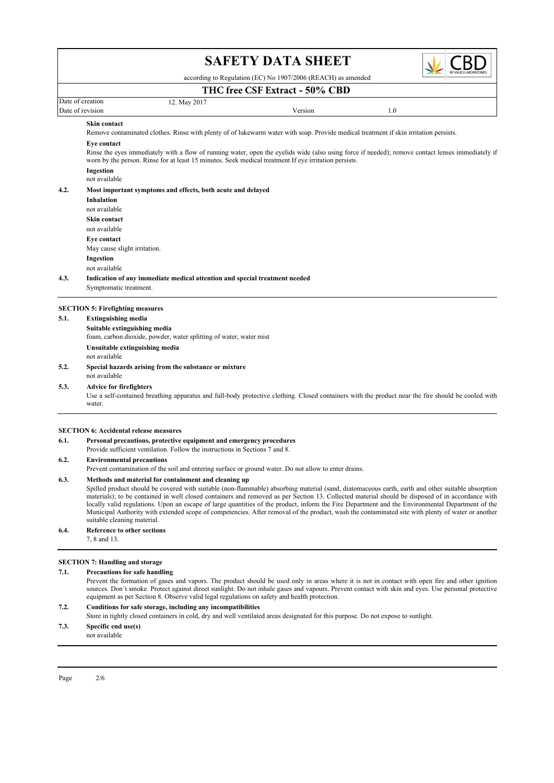

according to Regulation (EC) No 1907/2006 (REACH) as amended

## **THC free CSF Extract** - 50% CBD

Date of creation 12. May 2017

Date of revision 1.0

### Skin contact

Remove contaminated clothes. Rinse with plenty of of lukewarm water with soap. Provide medical treatment if skin irritation persists.

### Eye contact

Rinse the eyes immediately with a flow of running water, open the eyelids wide (also using force if needed); remove contact lenses immediately if worn by the person. Rinse for at least 15 minutes. Seek medical treatment If eye irritation persists. Ingestion

not available

### 4.2. Most important symptoms and effects, both acute and delayed

Ingestion May cause slight irritation. Eye contact not available Skin contact not available Inhalation

not available

## 4.3. Indication of any immediate medical attention and special treatment needed

Symptomatic treatment.

### SECTION 5: Firefighting measures

### 5.1. Extinguishing media

| Suitable extinguishing media   |                                                                    |
|--------------------------------|--------------------------------------------------------------------|
|                                | foam, carbon dioxide, powder, water splitting of water, water mist |
| Unsuitable extinguishing media |                                                                    |
| not available                  |                                                                    |
|                                |                                                                    |

### not available 5.2. Special hazards arising from the substance or mixture

### 5.3. Advice for firefighters

Use a self-contained breathing apparatus and full-body protective clothing. Closed containers with the product near the fire should be cooled with water.

### SECTION 6: Accidental release measures

6.1. Personal precautions, protective equipment and emergency procedures

Provide sufficient ventilation. Follow the instructions in Sections 7 and 8.

### 6.2. Environmental precautions

Prevent contamination of the soil and entering surface or ground water. Do not allow to enter drains.

### 6.3. Methods and material for containment and cleaning up

Spilled product should be covered with suitable (non-flammable) absorbing material (sand, diatomaceous earth, earth and other suitable absorption materials); to be contained in well closed containers and removed as per Section 13. Collected material should be disposed of in accordance with locally valid regulations. Upon an escape of large quantities of the product, inform the Fire Department and the Environmental Department of the Municipal Authority with extended scope of competencies. After removal of the product, wash the contaminated site with plenty of water or another suitable cleaning material.

### 6.4. Reference to other sections

7, 8 and 13.

### SECTION 7: Handling and storage

### 7.1. Precautions for safe handling

Prevent the formation of gases and vapors. The product should be used only in areas where it is not in contact with open fire and other ignition sources. Don´t smoke. Protect against direct sunlight. Do not inhale gases and vapours. Prevent contact with skin and eyes. Use personal protective equipment as per Section 8. Observe valid legal regulations on safety and health protection.

### 7.2. Conditions for safe storage, including any incompatibilities

Store in tightly closed containers in cold, dry and well ventilated areas designated for this purpose. Do not expose to sunlight.

### 7.3. Specific end use(s)

not available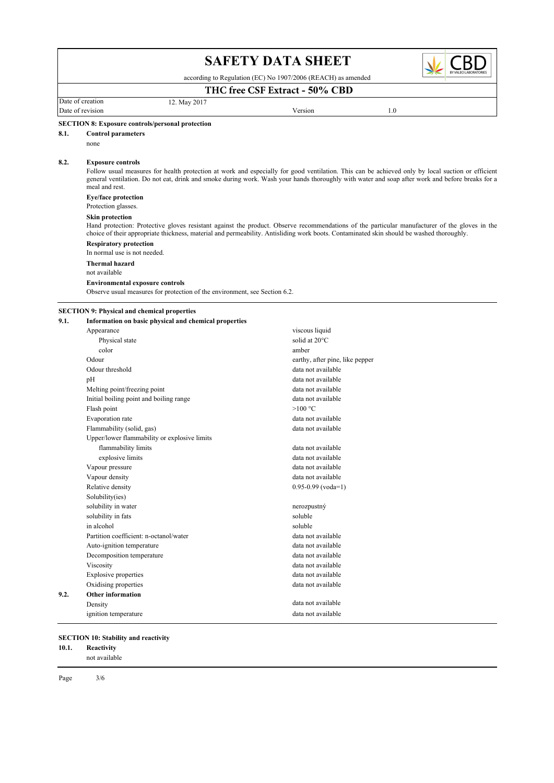|      |                                                                                                                                                                                                                                                                                                                                                   | <b>SAFETY DATA SHEET</b>        |     |  |  |  |
|------|---------------------------------------------------------------------------------------------------------------------------------------------------------------------------------------------------------------------------------------------------------------------------------------------------------------------------------------------------|---------------------------------|-----|--|--|--|
|      | according to Regulation (EC) No 1907/2006 (REACH) as amended                                                                                                                                                                                                                                                                                      |                                 |     |  |  |  |
|      |                                                                                                                                                                                                                                                                                                                                                   | THC free CSF Extract - 50% CBD  |     |  |  |  |
|      | Date of creation<br>12. May 2017<br>Date of revision                                                                                                                                                                                                                                                                                              | Version                         | 1.0 |  |  |  |
|      |                                                                                                                                                                                                                                                                                                                                                   |                                 |     |  |  |  |
| 8.1. | <b>SECTION 8: Exposure controls/personal protection</b><br><b>Control parameters</b>                                                                                                                                                                                                                                                              |                                 |     |  |  |  |
|      | none                                                                                                                                                                                                                                                                                                                                              |                                 |     |  |  |  |
| 8.2. | <b>Exposure controls</b><br>Follow usual measures for health protection at work and especially for good ventilation. This can be achieved only by local suction or efficient<br>general ventilation. Do not eat, drink and smoke during work. Wash your hands thoroughly with water and soap after work and before breaks for a<br>meal and rest. |                                 |     |  |  |  |
|      | Eye/face protection<br>Protection glasses.                                                                                                                                                                                                                                                                                                        |                                 |     |  |  |  |
|      | <b>Skin protection</b><br>Hand protection: Protective gloves resistant against the product. Observe recommendations of the particular manufacturer of the gloves in the<br>choice of their appropriate thickness, material and permeability. Antisliding work boots. Contaminated skin should be washed thoroughly.                               |                                 |     |  |  |  |
|      | <b>Respiratory protection</b><br>In normal use is not needed.                                                                                                                                                                                                                                                                                     |                                 |     |  |  |  |
|      | <b>Thermal hazard</b><br>not available                                                                                                                                                                                                                                                                                                            |                                 |     |  |  |  |
|      | <b>Environmental exposure controls</b><br>Observe usual measures for protection of the environment, see Section 6.2.                                                                                                                                                                                                                              |                                 |     |  |  |  |
|      | <b>SECTION 9: Physical and chemical properties</b>                                                                                                                                                                                                                                                                                                |                                 |     |  |  |  |
| 9.1. | Information on basic physical and chemical properties                                                                                                                                                                                                                                                                                             |                                 |     |  |  |  |
|      | Appearance                                                                                                                                                                                                                                                                                                                                        | viscous liquid                  |     |  |  |  |
|      | Physical state                                                                                                                                                                                                                                                                                                                                    | solid at 20°C                   |     |  |  |  |
|      | color                                                                                                                                                                                                                                                                                                                                             | amber                           |     |  |  |  |
|      | Odour                                                                                                                                                                                                                                                                                                                                             | earthy, after pine, like pepper |     |  |  |  |
|      | Odour threshold                                                                                                                                                                                                                                                                                                                                   | data not available              |     |  |  |  |
|      | pH                                                                                                                                                                                                                                                                                                                                                | data not available              |     |  |  |  |
|      | Melting point/freezing point                                                                                                                                                                                                                                                                                                                      | data not available              |     |  |  |  |
|      | Initial boiling point and boiling range                                                                                                                                                                                                                                                                                                           | data not available              |     |  |  |  |
|      | Flash point                                                                                                                                                                                                                                                                                                                                       | $>100$ °C                       |     |  |  |  |
|      | Evaporation rate                                                                                                                                                                                                                                                                                                                                  | data not available              |     |  |  |  |
|      | Flammability (solid, gas)                                                                                                                                                                                                                                                                                                                         | data not available              |     |  |  |  |
|      | Upper/lower flammability or explosive limits                                                                                                                                                                                                                                                                                                      |                                 |     |  |  |  |
|      | flammability limits                                                                                                                                                                                                                                                                                                                               | data not available              |     |  |  |  |
|      | explosive limits                                                                                                                                                                                                                                                                                                                                  | data not available              |     |  |  |  |
|      | Vapour pressure                                                                                                                                                                                                                                                                                                                                   | data not available              |     |  |  |  |
|      | Vapour density                                                                                                                                                                                                                                                                                                                                    | data not available              |     |  |  |  |
|      | Relative density                                                                                                                                                                                                                                                                                                                                  | $0.95 - 0.99$ (voda=1)          |     |  |  |  |
|      | Solubility(ies)                                                                                                                                                                                                                                                                                                                                   |                                 |     |  |  |  |
|      | solubility in water                                                                                                                                                                                                                                                                                                                               | nerozpustný                     |     |  |  |  |
|      | solubility in fats                                                                                                                                                                                                                                                                                                                                | soluble                         |     |  |  |  |
|      | in alcohol                                                                                                                                                                                                                                                                                                                                        | soluble                         |     |  |  |  |
|      | Partition coefficient: n-octanol/water                                                                                                                                                                                                                                                                                                            | data not available              |     |  |  |  |
|      | Auto-ignition temperature                                                                                                                                                                                                                                                                                                                         | data not available              |     |  |  |  |
|      | Decomposition temperature                                                                                                                                                                                                                                                                                                                         | data not available              |     |  |  |  |
|      | Viscosity                                                                                                                                                                                                                                                                                                                                         | data not available              |     |  |  |  |
|      | Explosive properties                                                                                                                                                                                                                                                                                                                              | data not available              |     |  |  |  |
|      | Oxidising properties                                                                                                                                                                                                                                                                                                                              | data not available              |     |  |  |  |
| 9.2. | Other information                                                                                                                                                                                                                                                                                                                                 |                                 |     |  |  |  |
|      | Density                                                                                                                                                                                                                                                                                                                                           | data not available              |     |  |  |  |
|      | ignition temperature                                                                                                                                                                                                                                                                                                                              | data not available              |     |  |  |  |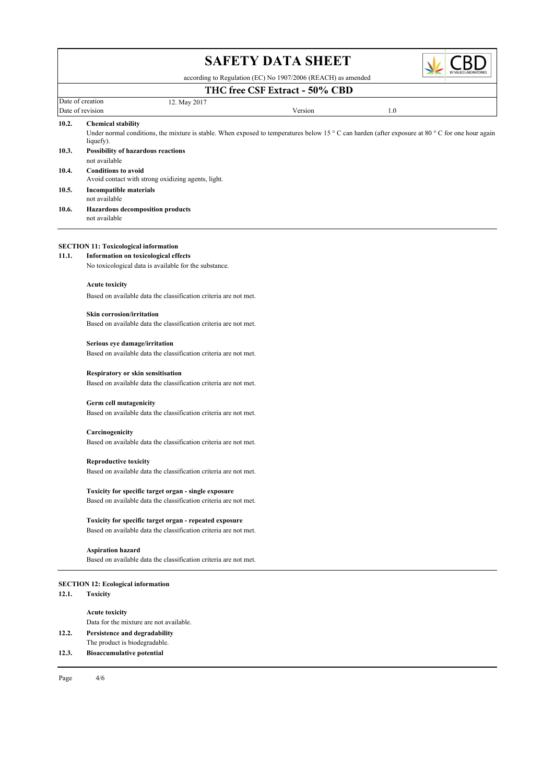

|       | <b>DIT DITII</b>                                                                                                                                                                                            |  |  |  |  |  |
|-------|-------------------------------------------------------------------------------------------------------------------------------------------------------------------------------------------------------------|--|--|--|--|--|
|       | BY VALEO LABORATORIES<br>according to Regulation (EC) No 1907/2006 (REACH) as amended                                                                                                                       |  |  |  |  |  |
|       | THC free CSF Extract - 50% CBD                                                                                                                                                                              |  |  |  |  |  |
|       | Date of creation<br>12. May 2017                                                                                                                                                                            |  |  |  |  |  |
|       | Date of revision<br>Version<br>1.0                                                                                                                                                                          |  |  |  |  |  |
| 10.2. | <b>Chemical stability</b><br>Under normal conditions, the mixture is stable. When exposed to temperatures below 15 $\degree$ C can harden (after exposure at 80 $\degree$ C for one hour again<br>liquefy). |  |  |  |  |  |
| 10.3. | Possibility of hazardous reactions<br>not available                                                                                                                                                         |  |  |  |  |  |
| 10.4. | <b>Conditions to avoid</b><br>Avoid contact with strong oxidizing agents, light.                                                                                                                            |  |  |  |  |  |
| 10.5. | <b>Incompatible materials</b><br>not available                                                                                                                                                              |  |  |  |  |  |
| 10.6. | <b>Hazardous decomposition products</b><br>not available                                                                                                                                                    |  |  |  |  |  |
|       | <b>SECTION 11: Toxicological information</b>                                                                                                                                                                |  |  |  |  |  |
| 11.1. | Information on toxicological effects<br>No toxicological data is available for the substance.                                                                                                               |  |  |  |  |  |
|       | <b>Acute toxicity</b>                                                                                                                                                                                       |  |  |  |  |  |
|       | Based on available data the classification criteria are not met.                                                                                                                                            |  |  |  |  |  |
|       | <b>Skin corrosion/irritation</b>                                                                                                                                                                            |  |  |  |  |  |
|       | Based on available data the classification criteria are not met.                                                                                                                                            |  |  |  |  |  |
|       | Serious eye damage/irritation<br>Based on available data the classification criteria are not met.                                                                                                           |  |  |  |  |  |
|       | Respiratory or skin sensitisation<br>Based on available data the classification criteria are not met.                                                                                                       |  |  |  |  |  |
|       | Germ cell mutagenicity<br>Based on available data the classification criteria are not met.                                                                                                                  |  |  |  |  |  |
|       | Carcinogenicity<br>Based on available data the classification criteria are not met.                                                                                                                         |  |  |  |  |  |
|       | <b>Reproductive toxicity</b><br>Based on available data the classification criteria are not met.                                                                                                            |  |  |  |  |  |
|       | Toxicity for specific target organ - single exposure<br>Based on available data the classification criteria are not met.                                                                                    |  |  |  |  |  |
|       | Toxicity for specific target organ - repeated exposure<br>Based on available data the classification criteria are not met.                                                                                  |  |  |  |  |  |
|       | <b>Aspiration hazard</b><br>Based on available data the classification criteria are not met.                                                                                                                |  |  |  |  |  |
| 12.1. | <b>SECTION 12: Ecological information</b><br><b>Toxicity</b>                                                                                                                                                |  |  |  |  |  |
|       | <b>Acute toxicity</b>                                                                                                                                                                                       |  |  |  |  |  |
|       | Data for the mixture are not available.                                                                                                                                                                     |  |  |  |  |  |
| 12.2. | Persistence and degradability<br>The product is biodegradable.                                                                                                                                              |  |  |  |  |  |
| 12.3. | <b>Bioaccumulative potential</b>                                                                                                                                                                            |  |  |  |  |  |

Page  $4/6$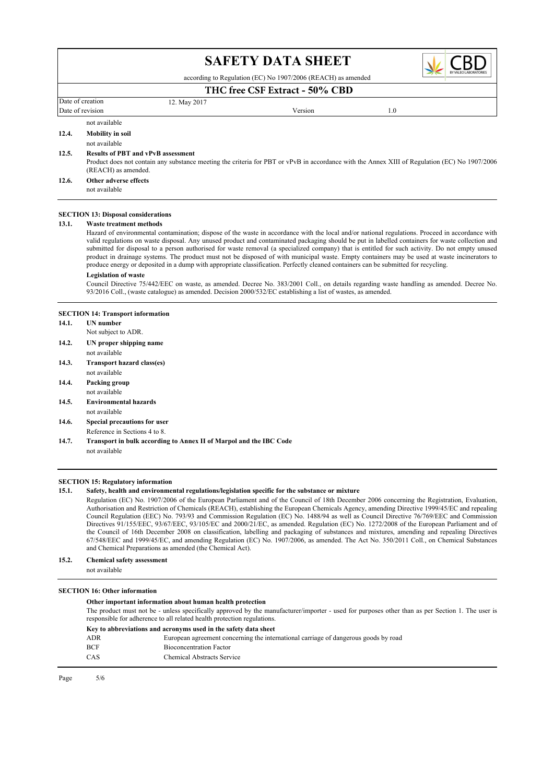

according to Regulation (EC) No 1907/2006 (REACH) as amended

## Date of creation 12. May 2017 **THC free CSF Extract** - 50% CBD

|               | Date of revision        | Version | 0.1 |  |
|---------------|-------------------------|---------|-----|--|
| not available |                         |         |     |  |
| 12.4.         | <b>Mobility in soil</b> |         |     |  |

## not available

### 12.5. Results of PBT and vPvB assessment

Product does not contain any substance meeting the criteria for PBT or vPvB in accordance with the Annex XIII of Regulation (EC) No 1907/2006 (REACH) as amended.

#### not available 12.6. Other adverse effects

### SECTION 13: Disposal considerations

### 13.1. Waste treatment methods

Hazard of environmental contamination; dispose of the waste in accordance with the local and/or national regulations. Proceed in accordance with valid regulations on waste disposal. Any unused product and contaminated packaging should be put in labelled containers for waste collection and submitted for disposal to a person authorised for waste removal (a specialized company) that is entitled for such activity. Do not empty unused product in drainage systems. The product must not be disposed of with municipal waste. Empty containers may be used at waste incinerators to produce energy or deposited in a dump with appropriate classification. Perfectly cleaned containers can be submitted for recycling.

#### Legislation of waste

Council Directive 75/442/EEC on waste, as amended. Decree No. 383/2001 Coll., on details regarding waste handling as amended. Decree No. 93/2016 Coll., (waste catalogue) as amended. Decision 2000/532/EC establishing a list of wastes, as amended.

#### SECTION 14: Transport information

- 14.1. UN number
- Not subject to ADR.
- not available 14.2. UN proper shipping name
- not available 14.3. Transport hazard class(es)
- not available 14.4. Packing group
- not available 14.5. Environmental hazards
- 14.6. Special precautions for user
- Reference in Sections 4 to 8.
- not available 14.7. Transport in bulk according to Annex II of Marpol and the IBC Code

### SECTION 15: Regulatory information

### 15.1. Safety, health and environmental regulations/legislation specific for the substance or mixture

Regulation (EC) No. 1907/2006 of the European Parliament and of the Council of 18th December 2006 concerning the Registration, Evaluation, Authorisation and Restriction of Chemicals (REACH), establishing the European Chemicals Agency, amending Directive 1999/45/EC and repealing Council Regulation (EEC) No. 793/93 and Commission Regulation (EC) No. 1488/94 as well as Council Directive 76/769/EEC and Commission Directives 91/155/EEC, 93/67/EEC, 93/105/EC and 2000/21/EC, as amended. Regulation (EC) No. 1272/2008 of the European Parliament and of the Council of 16th December 2008 on classification, labelling and packaging of substances and mixtures, amending and repealing Directives 67/548/EEC and 1999/45/EC, and amending Regulation (EC) No. 1907/2006, as amended. The Act No. 350/2011 Coll., on Chemical Substances and Chemical Preparations as amended (the Chemical Act).

### 15.2. Chemical safety assessment

not available

### SECTION 16: Other information

### Other important information about human health protection

The product must not be - unless specifically approved by the manufacturer/importer - used for purposes other than as per Section 1. The user is responsible for adherence to all related health protection regulations.

#### Key to abbreviations and acronyms used in the safety data sheet

| ADR        | European agreement concerning the international carriage of dangerous goods by road |
|------------|-------------------------------------------------------------------------------------|
| <b>BCF</b> | <b>Bioconcentration Factor</b>                                                      |
| CAS        | Chemical Abstracts Service                                                          |
|            |                                                                                     |